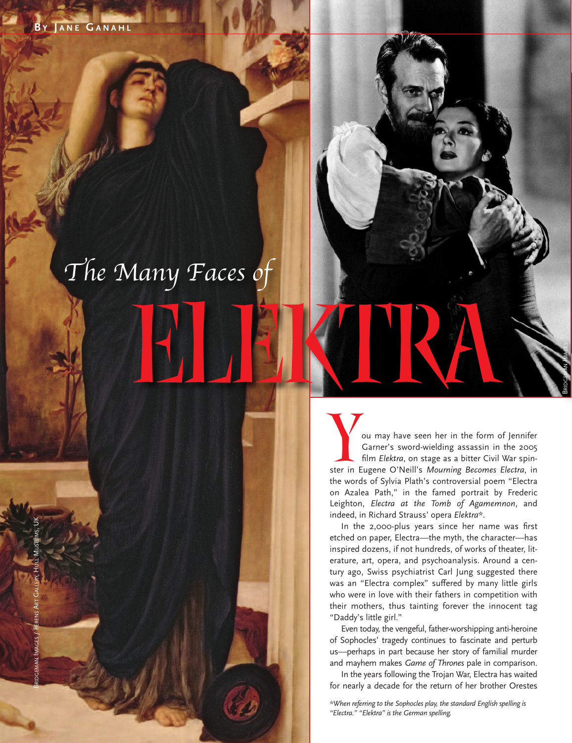## ELEKTRA *The Many Faces of*

**Volumay** have seen her in the form of Jennifer<br>Garner's sword-wielding assassin in the 2005<br>film *Elektra*, on stage as a bitter Civil War spin-Garner's sword-wielding assassin in the 2005 ster in Eugene o'Neill's *Mourning Becomes Electra*, in the words of Sylvia Plath's controversial poem "Electra on Azalea Path," in the famed portrait by Frederic Leighton, *Electra at the Tomb of Agamemnon*, and indeed, in Richard Strauss' opera *Elektra\**.

BRIDGEMAN IMAGES

In the 2,000-plus years since her name was first etched on paper, Electra—the myth, the character—has inspired dozens, if not hundreds, of works of theater, literature, art, opera, and psychoanalysis. Around a century ago, Swiss psychiatrist Carl Jung suggested there was an "Electra complex" suffered by many little girls who were in love with their fathers in competition with their mothers, thus tainting forever the innocent tag "Daddy's little girl."

Even today, the vengeful, father-worshipping anti-heroine of Sophocles' tragedy continues to fascinate and perturb us—perhaps in part because her story of familial murder and mayhem makes *Game of Thrones* pale in comparison.

In the years following the Trojan War, Electra has waited for nearly a decade for the return of her brother Orestes

*\*When referring to the Sophocles play, the standard English spelling is "Electra." "Elektra" is the German spelling.*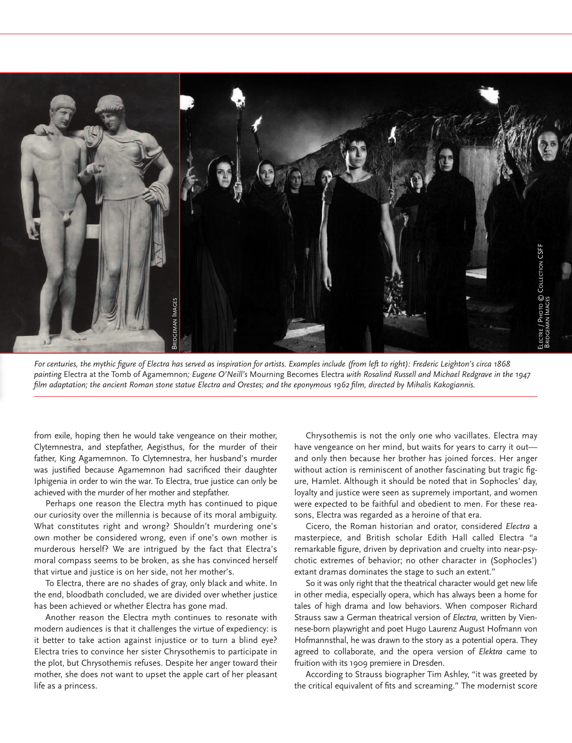

For centuries, the mythic figure of Electra has served as inspiration for artists. Examples include (from left to right): Frederic Leighton's circa 1868 painting Electra at the Tomb of Agamemnon; Eugene O'Neill's Mourning Becomes Electra with Rosalind Russell and Michael Redgrave in the 1947 film adaptation; the ancient Roman stone statue Electra and Orestes; and the eponymous 1962 film, directed by Mihalis Kakogiannis.

from exile, hoping then he would take vengeance on their mother, Clytemnestra, and stepfather, Aegisthus, for the murder of their father, King Agamemnon. To Clytemnestra, her husband's murder was justified because Agamemnon had sacrificed their daughter Iphigenia in order to win the war. To Electra, true justice can only be achieved with the murder of her mother and stepfather.

Perhaps one reason the Electra myth has continued to pique our curiosity over the millennia is because of its moral ambiguity. What constitutes right and wrong? Shouldn't murdering one's own mother be considered wrong, even if one's own mother is murderous herself? We are intrigued by the fact that Electra's moral compass seems to be broken, as she has convinced herself that virtue and justice is on her side, not her mother's.

To Electra, there are no shades of gray, only black and white. In the end, bloodbath concluded, we are divided over whether justice has been achieved or whether Electra has gone mad.

Another reason the Electra myth continues to resonate with modern audiences is that it challenges the virtue of expediency: is it better to take action against injustice or to turn a blind eye? Electra tries to convince her sister Chrysothemis to participate in the plot, but Chrysothemis refuses. Despite her anger toward their mother, she does not want to upset the apple cart of her pleasant life as a princess.

Chrysothemis is not the only one who vacillates. Electra may have vengeance on her mind, but waits for years to carry it out and only then because her brother has joined forces. Her anger without action is reminiscent of another fascinating but tragic figure, Hamlet. Although it should be noted that in Sophocles' day, loyalty and justice were seen as supremely important, and women were expected to be faithful and obedient to men. For these reasons, Electra was regarded as a heroine of that era.

Cicero, the Roman historian and orator, considered *Electra* a masterpiece, and British scholar Edith Hall called Electra "a remarkable figure, driven by deprivation and cruelty into near-psychotic extremes of behavior; no other character in (Sophocles') extant dramas dominates the stage to such an extent."

So it was only right that the theatrical character would get new life in other media, especially opera, which has always been a home for tales of high drama and low behaviors. When composer Richard Strauss saw a German theatrical version of *Electra,* written by viennese-born playwright and poet Hugo Laurenz August Hofmann von Hofmannsthal, he was drawn to the story as a potential opera. They agreed to collaborate, and the opera version of *Elektra* came to fruition with its 1909 premiere in Dresden.

According to Strauss biographer Tim Ashley, "it was greeted by the critical equivalent of fits and screaming." The modernist score